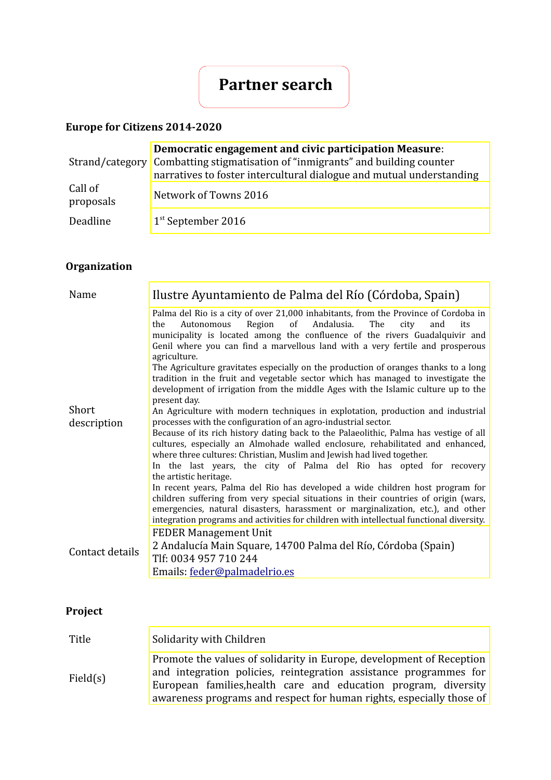# **Partner search**

### **Europe for Citizens 2014-2020**

|                      | Democratic engagement and civic participation Measure:<br>Strand/category Combatting stigmatisation of "inmigrants" and building counter<br>narratives to foster intercultural dialogue and mutual understanding |
|----------------------|------------------------------------------------------------------------------------------------------------------------------------------------------------------------------------------------------------------|
| Call of<br>proposals | Network of Towns 2016                                                                                                                                                                                            |
| Deadline             | $1st$ September 2016                                                                                                                                                                                             |

# **Organization**

| Name            | Ilustre Ayuntamiento de Palma del Río (Córdoba, Spain)                                                                                                                                                                                                                                                                                                                                                                                                                                                                                                                                                                              |
|-----------------|-------------------------------------------------------------------------------------------------------------------------------------------------------------------------------------------------------------------------------------------------------------------------------------------------------------------------------------------------------------------------------------------------------------------------------------------------------------------------------------------------------------------------------------------------------------------------------------------------------------------------------------|
|                 | Palma del Rio is a city of over 21,000 inhabitants, from the Province of Cordoba in<br>Region<br>Andalusia.<br>of<br>The<br>the<br>Autonomous<br>city<br>and<br>its<br>municipality is located among the confluence of the rivers Guadalquivir and<br>Genil where you can find a marvellous land with a very fertile and prosperous<br>agriculture.<br>The Agriculture gravitates especially on the production of oranges thanks to a long<br>tradition in the fruit and vegetable sector which has managed to investigate the<br>development of irrigation from the middle Ages with the Islamic culture up to the<br>present day. |
| Short           | An Agriculture with modern techniques in explotation, production and industrial                                                                                                                                                                                                                                                                                                                                                                                                                                                                                                                                                     |
| description     | processes with the configuration of an agro-industrial sector.                                                                                                                                                                                                                                                                                                                                                                                                                                                                                                                                                                      |
|                 | Because of its rich history dating back to the Palaeolithic, Palma has vestige of all<br>cultures, especially an Almohade walled enclosure, rehabilitated and enhanced,<br>where three cultures: Christian, Muslim and Jewish had lived together.<br>In the last years, the city of Palma del Rio has opted for recovery<br>the artistic heritage.                                                                                                                                                                                                                                                                                  |
|                 | In recent years, Palma del Rio has developed a wide children host program for<br>children suffering from very special situations in their countries of origin (wars,<br>emergencies, natural disasters, harassment or marginalization, etc.), and other<br>integration programs and activities for children with intellectual functional diversity.                                                                                                                                                                                                                                                                                 |
|                 | <b>FEDER Management Unit</b>                                                                                                                                                                                                                                                                                                                                                                                                                                                                                                                                                                                                        |
| Contact details | 2 Andalucía Main Square, 14700 Palma del Río, Córdoba (Spain)<br>Tlf: 0034 957 710 244                                                                                                                                                                                                                                                                                                                                                                                                                                                                                                                                              |
|                 | Emails: feder@palmadelrio.es                                                                                                                                                                                                                                                                                                                                                                                                                                                                                                                                                                                                        |

# **Project**

| Title    | Solidarity with Children                                                                                                                                                                                                                                                             |
|----------|--------------------------------------------------------------------------------------------------------------------------------------------------------------------------------------------------------------------------------------------------------------------------------------|
| Field(s) | Promote the values of solidarity in Europe, development of Reception<br>and integration policies, reintegration assistance programmes for<br>European families, health care and education program, diversity<br>awareness programs and respect for human rights, especially those of |